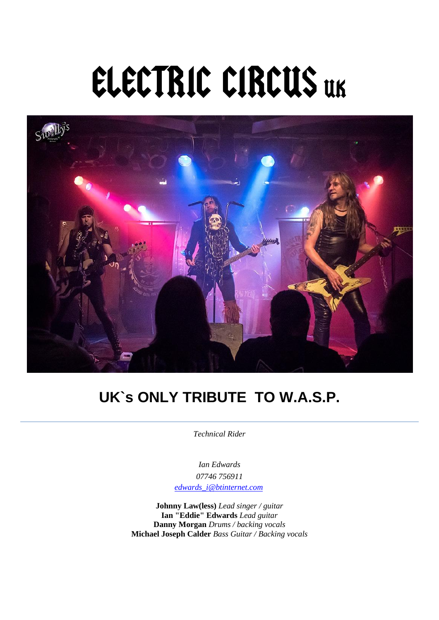

#### **UK`s ONLY TRIBUTE TO W.A.S.P.**

*Technical Rider*

*Ian Edwards 07746 756911 [edwards\\_i@btinternet.com](mailto:edwards_i@btinternet.com?subject=bookings)*

**Johnny Law(less)** *Lead singer / guitar* **Ian "Eddie" Edwards** *Lead guitar* **Danny Morgan** *Drums / backing vocals* **Michael Joseph Calder** *Bass Guitar / Backing vocals*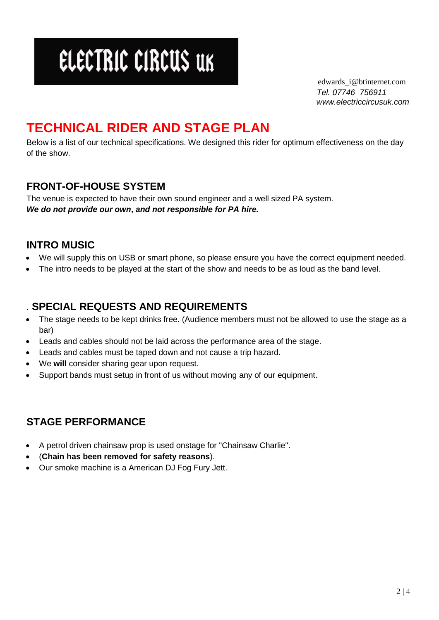edwards\_i@btinternet.com  *Tel. 07746 756911 www.electriccircusuk.com*

#### **TECHNICAL RIDER AND STAGE PLAN**

Below is a list of our technical specifications. We designed this rider for optimum effectiveness on the day of the show.

#### **FRONT-OF-HOUSE SYSTEM**

The venue is expected to have their own sound engineer and a well sized PA system. *We do not provide our own***,** *and not responsible for PA hire.*

#### **INTRO MUSIC**

- We will supply this on USB or smart phone, so please ensure you have the correct equipment needed.
- The intro needs to be played at the start of the show and needs to be as loud as the band level.

#### . **SPECIAL REQUESTS AND REQUIREMENTS**

- The stage needs to be kept drinks free. (Audience members must not be allowed to use the stage as a bar)
- Leads and cables should not be laid across the performance area of the stage.
- Leads and cables must be taped down and not cause a trip hazard.
- We **will** consider sharing gear upon request.
- Support bands must setup in front of us without moving any of our equipment.

#### **STAGE PERFORMANCE**

- A petrol driven chainsaw prop is used onstage for "Chainsaw Charlie".
- (**Chain has been removed for safety reasons**).
- Our smoke machine is a American DJ Fog Fury Jett.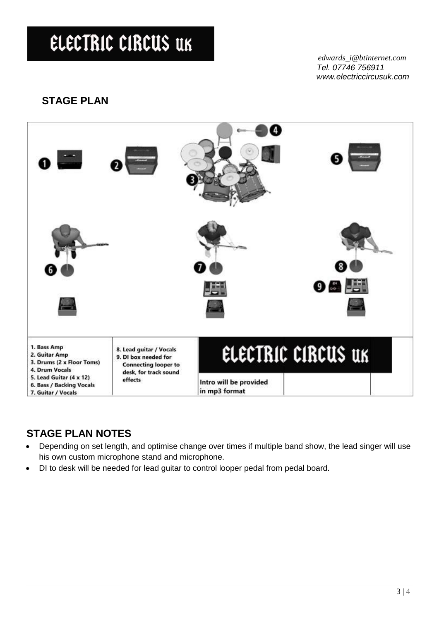*edwards\_i@btinternet.com Tel. 07746 756911 www.electriccircusuk.com*

#### **STAGE PLAN**



#### **STAGE PLAN NOTES**

- Depending on set length, and optimise change over times if multiple band show, the lead singer will use his own custom microphone stand and microphone.
- DI to desk will be needed for lead guitar to control looper pedal from pedal board.